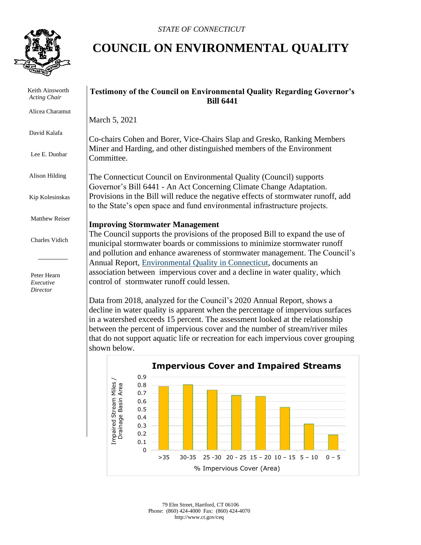

Keith Ainsworth

*Director*

| 1801. ILI 7 8111. DVV OT UT<br><b>Acting Chair</b> | 1 esumony of the U                                                       |
|----------------------------------------------------|--------------------------------------------------------------------------|
| Alicea Charamut                                    | March 5, 2021                                                            |
| David Kalafa                                       | Co-chairs Cohen and                                                      |
| Lee E. Dunbar                                      | Miner and Harding,<br>Committee.                                         |
| Alison Hilding                                     | The Connecticut Cor<br>Governor's Bill 644                               |
| Kip Kolesinskas                                    | Provisions in the Bil<br>to the State's open sp                          |
| <b>Matthew Reiser</b>                              | <b>Improving Stormw</b>                                                  |
| Charles Vidich                                     | The Council support<br>municipal stormwate<br>and pollution and en       |
| Peter Hearn<br>Executive                           | <b>Annual Report, Envi</b><br>association between<br>control of stormwat |

## **COUNCIL ON ENVIRONMENTAL QUALITY**

| Testimony of the Council on Environmental Quality Regarding Governor's |
|------------------------------------------------------------------------|
| <b>Bill 6441</b>                                                       |

d Borer, Vice-Chairs Slap and Gresko, Ranking Members and other distinguished members of the Environment

uncil on Environmental Quality (Council) supports 1 - An Act Concerning Climate Change Adaptation. Il will reduce the negative effects of stormwater runoff, add pace and fund environmental infrastructure projects.

## **Institute Management**

ts the provisions of the proposed Bill to expand the use of er boards or commissions to minimize stormwater runoff hance awareness of stormwater management. The Council's Ironmental Quality in Connecticut, documents an impervious cover and a decline in water quality, which er runoff could lessen.

Data from 2018, analyzed for the Council's 2020 Annual Report, shows a decline in water quality is apparent when the percentage of impervious surfaces in a watershed exceeds 15 percent. The assessment looked at the relationship between the percent of impervious cover and the number of stream/river miles that do not support aquatic life or recreation for each impervious cover grouping shown below.